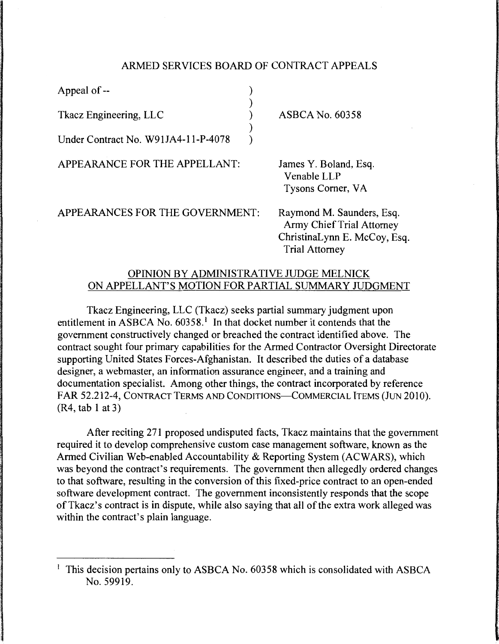## ARMED SERVICES BOARD OF CONTRACT APPEALS

| Appeal of --                        |                                                                                               |
|-------------------------------------|-----------------------------------------------------------------------------------------------|
| Tkacz Engineering, LLC              | <b>ASBCA No. 60358</b>                                                                        |
| Under Contract No. W91JA4-11-P-4078 |                                                                                               |
| APPEARANCE FOR THE APPELLANT:       | James Y. Boland, Esq.<br>Venable LLP<br>Tysons Corner, VA                                     |
| APPEARANCES FOR THE GOVERNMENT:     | Raymond M. Saunders, Esq.<br><b>Army Chief Trial Attorney</b><br>ChristinaLynn E. McCoy, Esq. |

## OPINION BY ADMINISTRATIVE JUDGE MELNICK ON APPELLANT'S MOTION FOR PARTIAL SUMMARY JUDGMENT

Trial Attorney

Tkacz Engineering, LLC (Tkacz) seeks partial summary judgment upon entitlement in ASBCA No.  $60358$ .<sup>1</sup> In that docket number it contends that the government constructively changed or breached the contract identified above. The contract sought four primary capabilities for the Armed Contractor Oversight Directorate supporting United States Forces-Afghanistan. It described the duties of a database designer, a webmaster, an information assurance engineer, and a training and documentation specialist. Among other things, the contract incorporated by reference FAR 52.212-4, CONTRACT TERMS AND CONDITIONS-COMMERCIAL ITEMS (JUN 2010). (R4, tab 1 at 3)

After reciting 271 proposed undisputed facts, Tkacz maintains that the government required it to develop comprehensive custom case management software, known as the Armed Civilian Web-enabled Accountability & Reporting System (ACWARS), which was beyond the contract's requirements. The government then allegedly ordered changes to that software, resulting in the conversion of this fixed-price contract to an open-ended software development contract. The government inconsistently responds that the scope of Tkacz's contract is in dispute, while also saying that all of the extra work alleged was within the contract's plain language.

<sup>&</sup>lt;sup>1</sup> This decision pertains only to ASBCA No. 60358 which is consolidated with ASBCA No. 59919.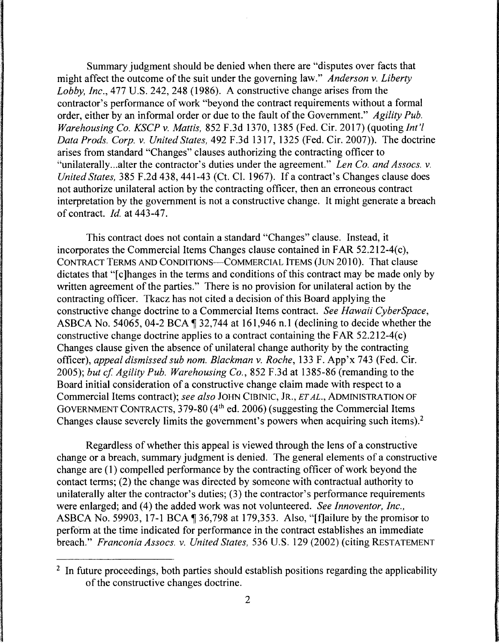Summary judgment should be denied when there are "disputes over facts that might affect the outcome of the suit under the governing law." *Anderson v. Liberty Lobby, Inc.,* 477 U.S. 242, 248 (1986). A constructive change arises from the contractor's performance of work "beyond the contract requirements without a formal order, either by an informal order or due to the fault of the Government." *Agility Pub. Warehousing Co. KSCP v. Mattis,* 852 F.3d 1370, 1385 (Fed. Cir. 2017) (quoting *Int'! Data Prods. Corp. v. United States,* 492 F.3d 1317, 1325 (Fed. Cir. 2007)). The doctrine arises from standard "Changes" clauses authorizing the contracting officer to "unilaterally...alter the contractor's duties under the agreement." *Len Co. and Assocs. v. United States,* 385 F.2d 438, 441-43 (Ct. Cl. 1967). If a contract's Changes clause does not authorize unilateral action by the contracting officer, then an erroneous contract interpretation by the government is not a constructive change. It might generate a breach of contract. *Id.* at 443-47.

This contract does not contain a standard "Changes" clause. Instead, it incorporates the Commercial Items Changes clause contained in FAR 52.212-4(c), CONTRACT TERMS AND CONDITIONS-COMMERCIAL ITEMS (JUN 2010). That clause dictates that "[c] hanges in the terms and conditions of this contract may be made only by written agreement of the parties." There is no provision for unilateral action by the contracting officer. Tkacz has not cited a decision of this Board applying the constructive change doctrine to a Commercial Items contract. *See Hawaii CyberSpace,*  ASBCA No. 54065, 04-2 BCA  $\P$  32,744 at 161,946 n.1 (declining to decide whether the constructive change doctrine applies to a contract containing the FAR 52.212-4(c) Changes clause given the absence of unilateral change authority by the contracting officer), *appeal dismissed sub nom. Blackman v. Roche,* 133 F. App'x 743 (Fed. Cir. 2005); *but cf Agility Pub. Warehousing Co.,* 852 F.3d at 1385-86 (remanding to the Board initial consideration of a constructive change claim made with respect to a Commercial Items contract); *see also* JOHN CIBINIC, JR., *ET AL.,* ADMINISTRATION OF GOVERNMENT CONTRACTS, 379-80 (4th ed. 2006) (suggesting the Commercial Items Changes clause severely limits the government's powers when acquiring such items). <sup>2</sup>

Regardless of whether this appeal is viewed through the lens of a constructive change or a breach, summary judgment is denied. The general elements of a constructive change are (1) compelled performance by the contracting officer of work beyond the contact terms; (2) the change was directed by someone with contractual authority to unilaterally alter the contractor's duties; (3) the contractor's performance requirements were enlarged; and (4) the added work was not volunteered. *See Innoventor, Inc.,*  ASBCA No. 59903, 17-1 BCA ¶ 36,798 at 179,353. Also, "[f]ailure by the promisor to perform at the time indicated for performance in the contract establishes an immediate breach." *Franconia Assocs. v. United States,* 536 U.S. 129 (2002) (citing RESTATEMENT

<sup>&</sup>lt;sup>2</sup> In future proceedings, both parties should establish positions regarding the applicability of the constructive changes doctrine.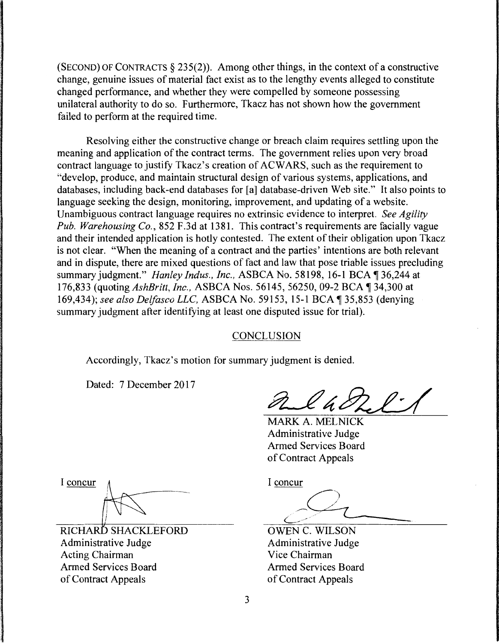(SECOND) OF CONTRACTS  $\S 235(2)$ ). Among other things, in the context of a constructive change, genuine issues of material fact exist as to the lengthy events alleged to constitute changed performance, and whether they were compelled by someone possessing unilateral authority to do so. Furthermore, Tkacz has not shown how the government failed to perform at the required time.

Resolving either the constructive change or breach claim requires settling upon the meaning and application of the contract terms. The government relies upon very broad contract language to justify Tkacz's creation of ACWARS, such as the requirement to "develop, produce, and maintain structural design of various systems, applications, and databases, including back-end databases for [a] database-driven Web site." It also points to language seeking the design, monitoring, improvement, and updating of a website. Unambiguous contract language requires no extrinsic evidence to interpret. *See Agility Pub. Warehousing Co.,* 852 F.3d at 1381. This contract's requirements are facially vague and their intended application is hotly contested. The extent of their obligation upon Tkacz is not clear. "When the meaning of a contract and the parties' intentions are both relevant and in dispute, there are mixed questions of fact and law that pose triable issues precluding summary judgment." *Hanley Indus., Inc., ASBCA No.* 58198, 16-1 BCA 136,244 at 176,833 (quoting *AshBritt, Inc., ASBCA Nos.* 56145, 56250, 09-2 BCA 1 34,300 at 169,434); *see also Delfasco LLC,* ASBCA No. 59153, 15-1BCA~35,853 (denying summary judgment after identifying at least one disputed issue for trial).

## CONCLUSION

Accordingly, Tkacz's motion for summary judgment is denied.

Dated: 7 December 2017

MARK A. MELNICK Administrative Judge Armed Services Board of Contract Appeals

I concur

RICHARD SHACKLEFORD Administrative Judge Acting Chairman Armed Services Board of Contract Appeals

I concur

')

OWEN C. WILSON Administrative Judge Vice Chairman Armed Services Board of Contract Appeals